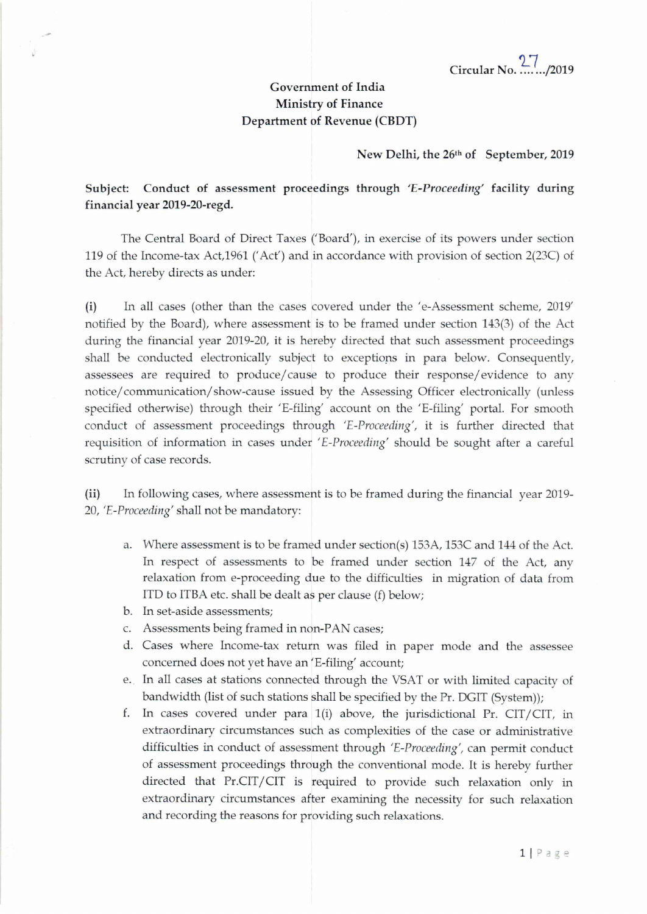## Government of India Ministry of Finance Department of Revenue (CBDT)

## New Delhi, the 26th of September, 2019

Subject: Conduct of assessment proceedings through *'E-Proceeding'* facility during financial year 2019-20-regd.

The Central Board of Direct Taxes ('Board'), in exercise of its powers under section 119 of the Income-tax Act,1961 ('Act') and in accordance with provision of section 2(23C) of the Act, hereby directs as under:

(i) In all cases (other than the cases covered under the 'e-Assessment scheme, 2019' notified by the Board), where assessment is to be framed under section 143(3) of the Act during the financial year 2019-20, it is hereby directed that such assessment proceedings shall be conducted electronically subject to exceptiops in para below. Consequently, assessees are required to produce/ cause to produce their response/evidence to any notice/ communication/ show-cause issued by the Assessing Officer electronically (unless specified otherwise) through their 'E-filing' account on the 'E-filing' portal. For smooth conduct of assessment proceedings through *'E-Proceeding',* it is further directed that requisition of information in cases under 'E-Proceeding' should be sought after a careful scrutiny of case records.

(ii) In following cases, where assessment is to be framed during the financial year 2019- *20, 'E-Proceeding'* shall not be mandatory:

- a. Where assessment is to be framed under section(s) 153A, 153C and 144 of the Act. In respect of assessments to be framed under section 147 of the Act, any relaxation from e-proceeding due to the difficulties in migration of data from ITO to ITBA etc. shall be dealt as per clause (f) below;
- b. In set-aside assessments;
- c. Assessments being framed in non-PAN cases;
- d. Cases where Income-tax return was filed in paper mode and the assessee concerned does not yet have an 'E-filing' account;
- e. In all cases at stations connected through the VSAT or with limited capacity of bandwidth (list of such stations shall be specified by the Pr. DGIT (System));
- f. In cases covered under para  $1(i)$  above, the jurisdictional Pr. CIT/CIT, in extraordinary circumstances such as complexities of the case or administrative difficulties in conduct of assessment through *'E-Proceeding',* can permit conduct of assessment proceedings through the conventional mode. It is hereby further directed that Pr.CIT/CIT is required to provide such relaxation only in extraordinary circumstances after examining the necessity for such relaxation and recording the reasons for providing such relaxations.